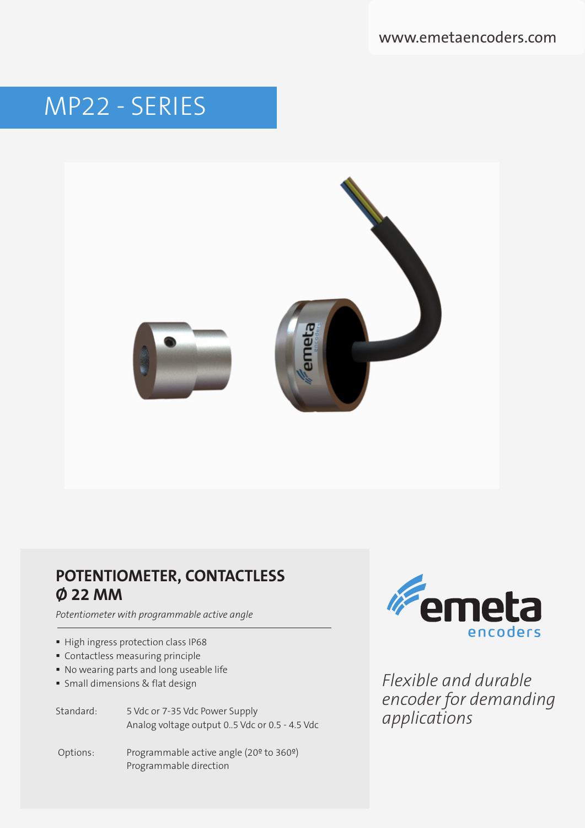www.emetaencoders.com

# MP22 - SERIES



## **POTENTIOMETER, CONTACTLESS Ø 22 MM**

*Potentiometer with programmable active angle*

- High ingress protection class IP68
- Contactless measuring principle
- No wearing parts and long useable life
- Small dimensions & flat design

Standard: 5 Vdc or 7-35 Vdc Power Supply Analog voltage output 0..5 Vdc or 0.5 - 4.5 Vdc

 Options: Programmable active angle (20º to 360º) Programmable direction



*Flexible and durable encoder for demanding applications*